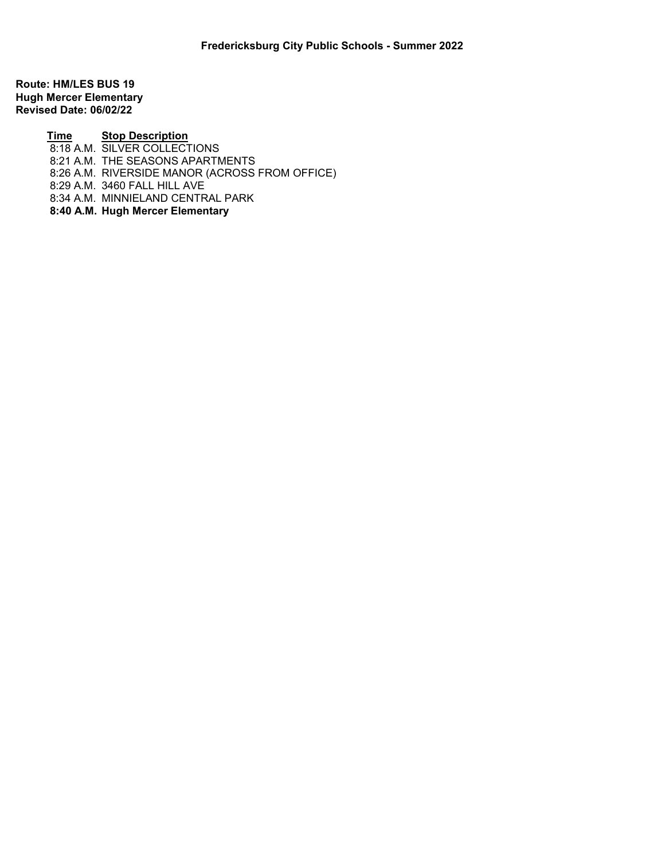Route: HM/LES BUS 19 Hugh Mercer Elementary Revised Date: 06/02/22

> Time Stop Description 8:18 A.M. SILVER COLLECTIONS 8:21 A.M. THE SEASONS APARTMENTS 8:26 A.M. RIVERSIDE MANOR (ACROSS FROM OFFICE) 8:29 A.M. 3460 FALL HILL AVE 8:34 A.M. MINNIELAND CENTRAL PARK 8:40 A.M. Hugh Mercer Elementary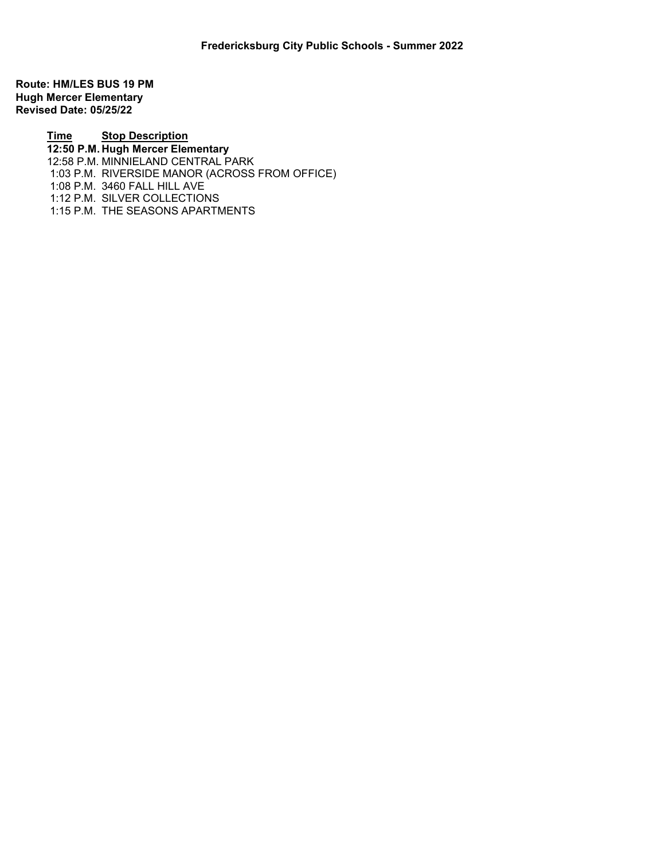Route: HM/LES BUS 19 PM Hugh Mercer Elementary Revised Date: 05/25/22

> Time Stop Description 12:50 P.M. Hugh Mercer Elementary 12:58 P.M. MINNIELAND CENTRAL PARK 1:03 P.M. RIVERSIDE MANOR (ACROSS FROM OFFICE) 1:08 P.M. 3460 FALL HILL AVE 1:12 P.M. SILVER COLLECTIONS 1:15 P.M. THE SEASONS APARTMENTS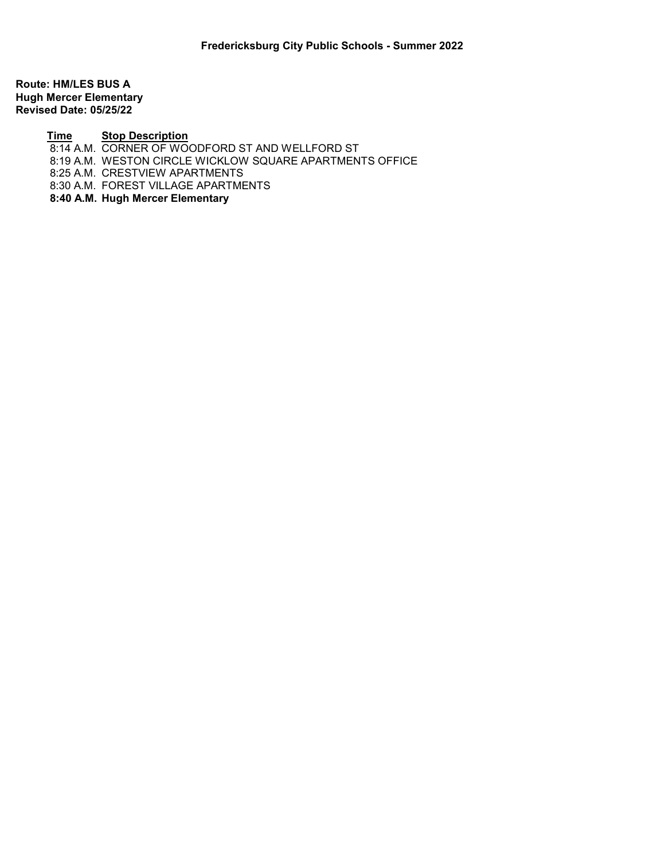Route: HM/LES BUS A Hugh Mercer Elementary Revised Date: 05/25/22

## Time Stop Description

8:14 A.M. CORNER OF WOODFORD ST AND WELLFORD ST

8:19 A.M. WESTON CIRCLE WICKLOW SQUARE APARTMENTS OFFICE

8:25 A.M. CRESTVIEW APARTMENTS

8:30 A.M. FOREST VILLAGE APARTMENTS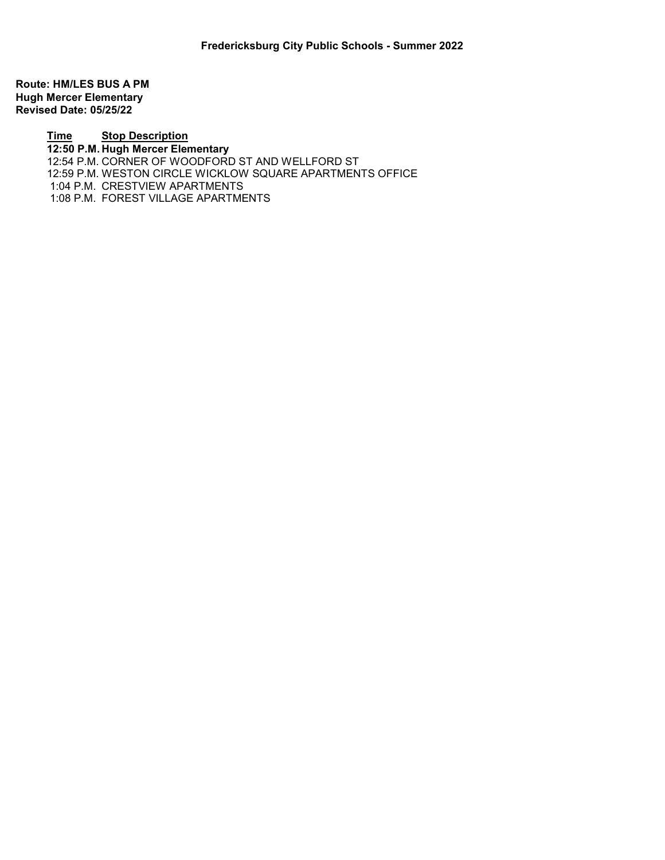Route: HM/LES BUS A PM Hugh Mercer Elementary Revised Date: 05/25/22

> Time Stop Description 12:50 P.M. Hugh Mercer Elementary 12:54 P.M. CORNER OF WOODFORD ST AND WELLFORD ST 12:59 P.M. WESTON CIRCLE WICKLOW SQUARE APARTMENTS OFFICE 1:04 P.M. CRESTVIEW APARTMENTS 1:08 P.M. FOREST VILLAGE APARTMENTS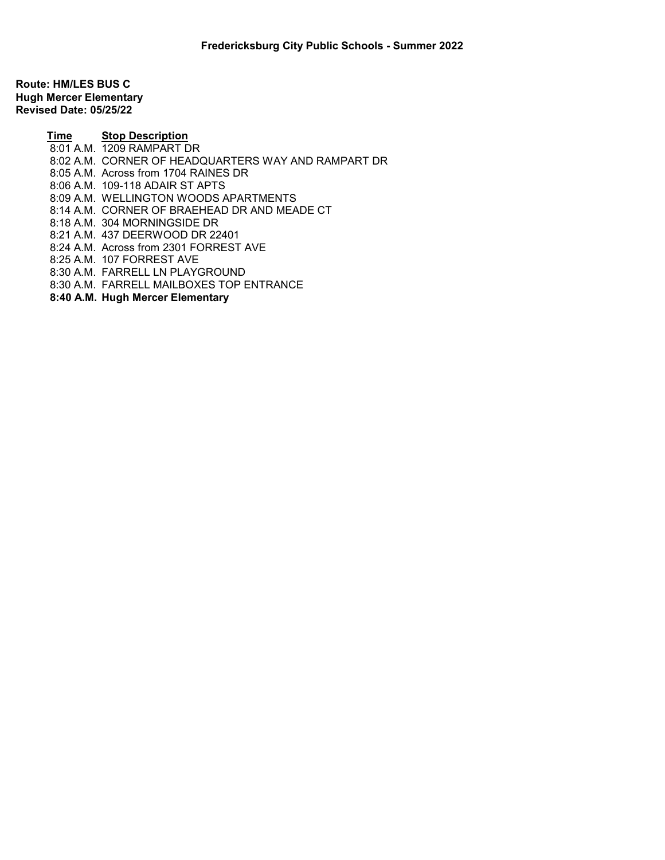Route: HM/LES BUS C Hugh Mercer Elementary Revised Date: 05/25/22

> Time Stop Description 8:01 A.M. 1209 RAMPART DR 8:02 A.M. CORNER OF HEADQUARTERS WAY AND RAMPART DR 8:05 A.M. Across from 1704 RAINES DR 8:06 A.M. 109-118 ADAIR ST APTS 8:09 A.M. WELLINGTON WOODS APARTMENTS 8:14 A.M. CORNER OF BRAEHEAD DR AND MEADE CT 8:18 A.M. 304 MORNINGSIDE DR 8:21 A.M. 437 DEERWOOD DR 22401 8:24 A.M. Across from 2301 FORREST AVE 8:25 A.M. 107 FORREST AVE 8:30 A.M. FARRELL LN PLAYGROUND 8:30 A.M. FARRELL MAILBOXES TOP ENTRANCE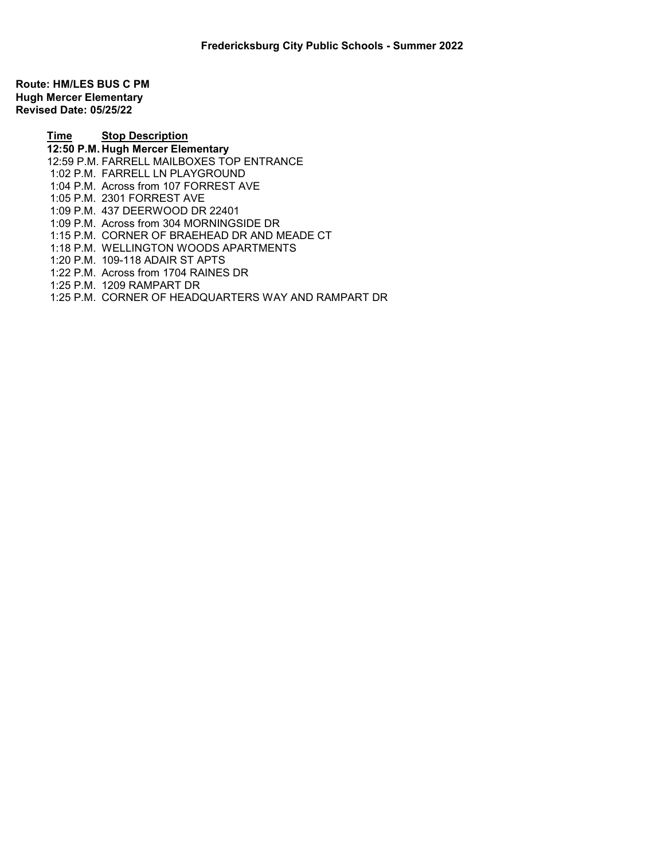Route: HM/LES BUS C PM Hugh Mercer Elementary Revised Date: 05/25/22

> Time Stop Description 12:50 P.M. Hugh Mercer Elementary 12:59 P.M. FARRELL MAILBOXES TOP ENTRANCE 1:02 P.M. FARRELL LN PLAYGROUND 1:04 P.M. Across from 107 FORREST AVE 1:05 P.M. 2301 FORREST AVE 1:09 P.M. 437 DEERWOOD DR 22401 1:09 P.M. Across from 304 MORNINGSIDE DR 1:15 P.M. CORNER OF BRAEHEAD DR AND MEADE CT 1:18 P.M. WELLINGTON WOODS APARTMENTS 1:20 P.M. 109-118 ADAIR ST APTS 1:22 P.M. Across from 1704 RAINES DR 1:25 P.M. 1209 RAMPART DR

1:25 P.M. CORNER OF HEADQUARTERS WAY AND RAMPART DR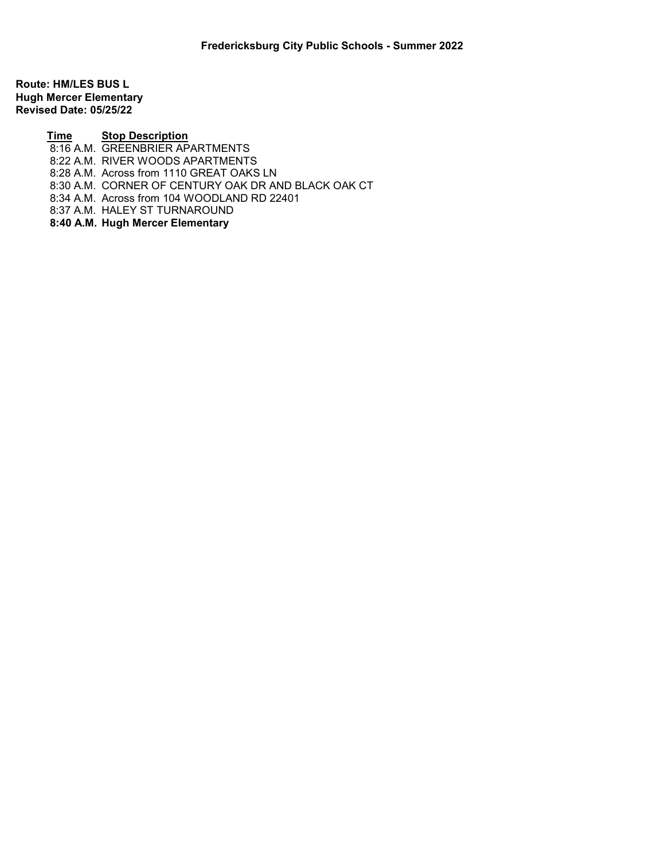Route: HM/LES BUS L Hugh Mercer Elementary Revised Date: 05/25/22

> Time Stop Description 8:16 A.M. GREENBRIER APARTMENTS 8:22 A.M. RIVER WOODS APARTMENTS 8:28 A.M. Across from 1110 GREAT OAKS LN 8:30 A.M. CORNER OF CENTURY OAK DR AND BLACK OAK CT 8:34 A.M. Across from 104 WOODLAND RD 22401 8:37 A.M. HALEY ST TURNAROUND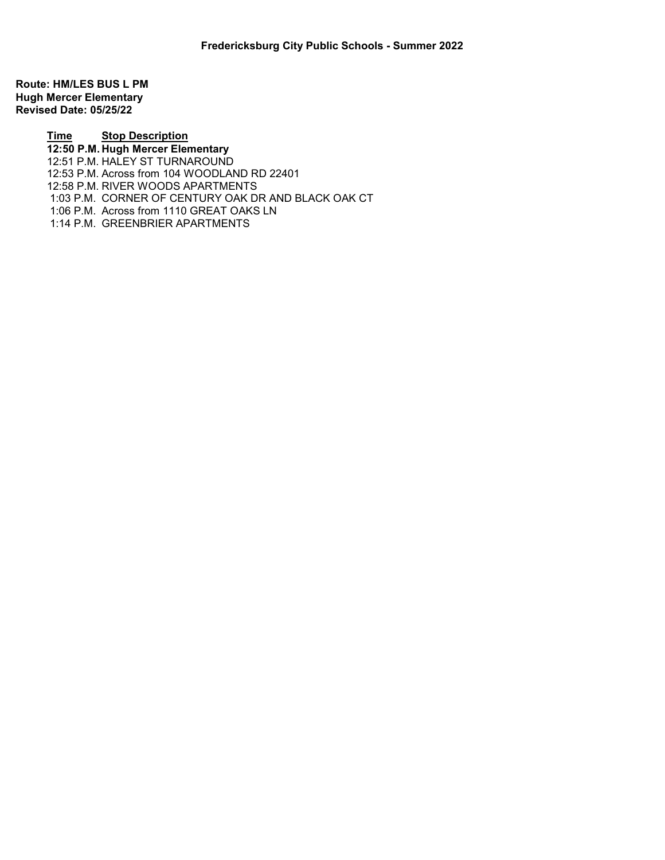Route: HM/LES BUS L PM Hugh Mercer Elementary Revised Date: 05/25/22

> Time Stop Description 12:50 P.M. Hugh Mercer Elementary 12:51 P.M. HALEY ST TURNAROUND 12:53 P.M. Across from 104 WOODLAND RD 22401 12:58 P.M. RIVER WOODS APARTMENTS 1:03 P.M. CORNER OF CENTURY OAK DR AND BLACK OAK CT 1:06 P.M. Across from 1110 GREAT OAKS LN 1:14 P.M. GREENBRIER APARTMENTS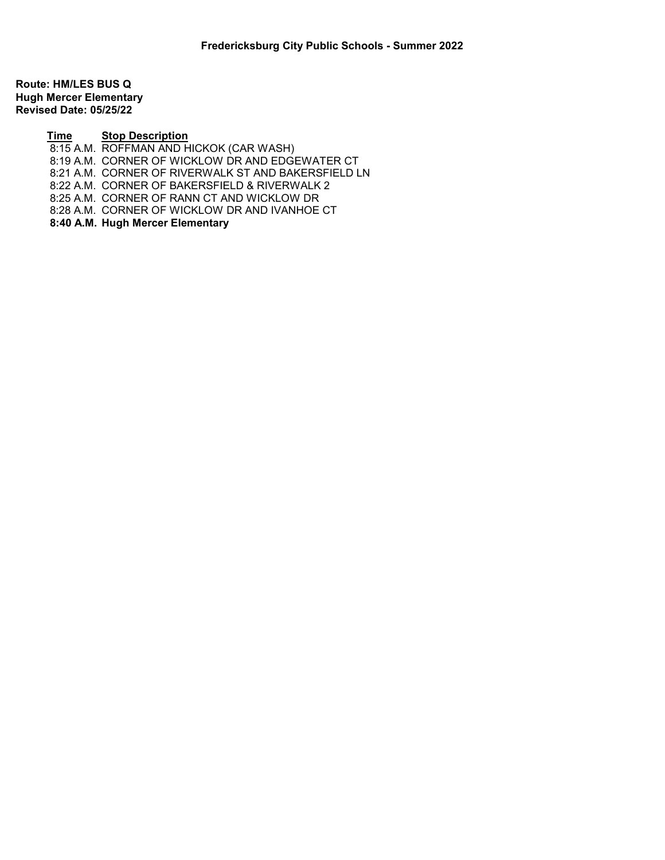Route: HM/LES BUS Q Hugh Mercer Elementary Revised Date: 05/25/22

## Time Stop Description

8:15 A.M. ROFFMAN AND HICKOK (CAR WASH) 8:19 A.M. CORNER OF WICKLOW DR AND EDGEWATER CT 8:21 A.M. CORNER OF RIVERWALK ST AND BAKERSFIELD LN 8:22 A.M. CORNER OF BAKERSFIELD & RIVERWALK 2 8:25 A.M. CORNER OF RANN CT AND WICKLOW DR 8:28 A.M. CORNER OF WICKLOW DR AND IVANHOE CT 8:40 A.M. Hugh Mercer Elementary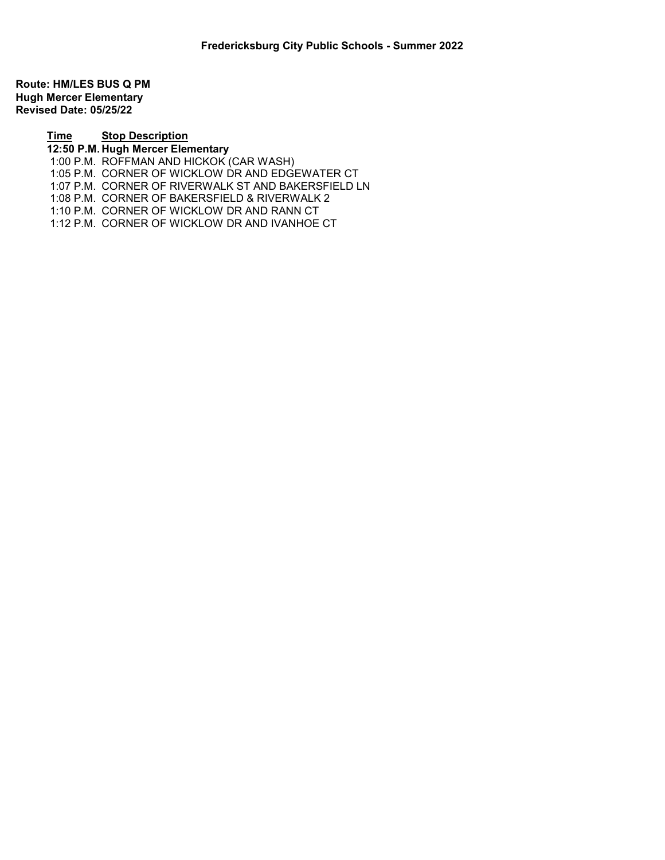Route: HM/LES BUS Q PM Hugh Mercer Elementary Revised Date: 05/25/22

## Time Stop Description 12:50 P.M. Hugh Mercer Elementary 1:00 P.M. ROFFMAN AND HICKOK (CAR WASH) 1:05 P.M. CORNER OF WICKLOW DR AND EDGEWATER CT 1:07 P.M. CORNER OF RIVERWALK ST AND BAKERSFIELD LN 1:08 P.M. CORNER OF BAKERSFIELD & RIVERWALK 2 1:10 P.M. CORNER OF WICKLOW DR AND RANN CT 1:12 P.M. CORNER OF WICKLOW DR AND IVANHOE CT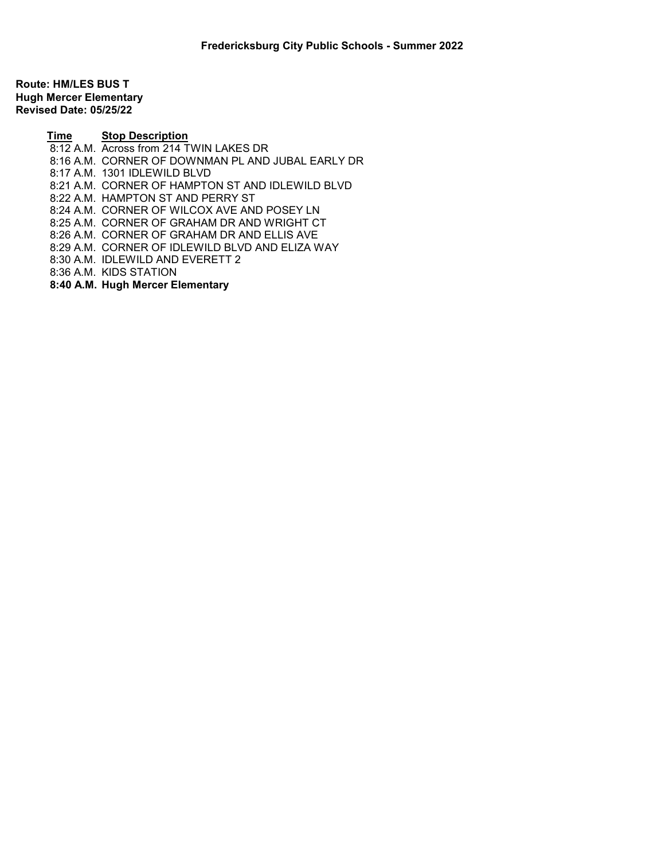Route: HM/LES BUS T Hugh Mercer Elementary Revised Date: 05/25/22

> Time Stop Description 8:12 A.M. Across from 214 TWIN LAKES DR 8:16 A.M. CORNER OF DOWNMAN PL AND JUBAL EARLY DR 8:17 A.M. 1301 IDLEWILD BLVD 8:21 A.M. CORNER OF HAMPTON ST AND IDLEWILD BLVD 8:22 A.M. HAMPTON ST AND PERRY ST 8:24 A.M. CORNER OF WILCOX AVE AND POSEY LN 8:25 A.M. CORNER OF GRAHAM DR AND WRIGHT CT 8:26 A.M. CORNER OF GRAHAM DR AND ELLIS AVE 8:29 A.M. CORNER OF IDLEWILD BLVD AND ELIZA WAY 8:30 A.M. IDLEWILD AND EVERETT 2 8:36 A.M. KIDS STATION 8:40 A.M. Hugh Mercer Elementary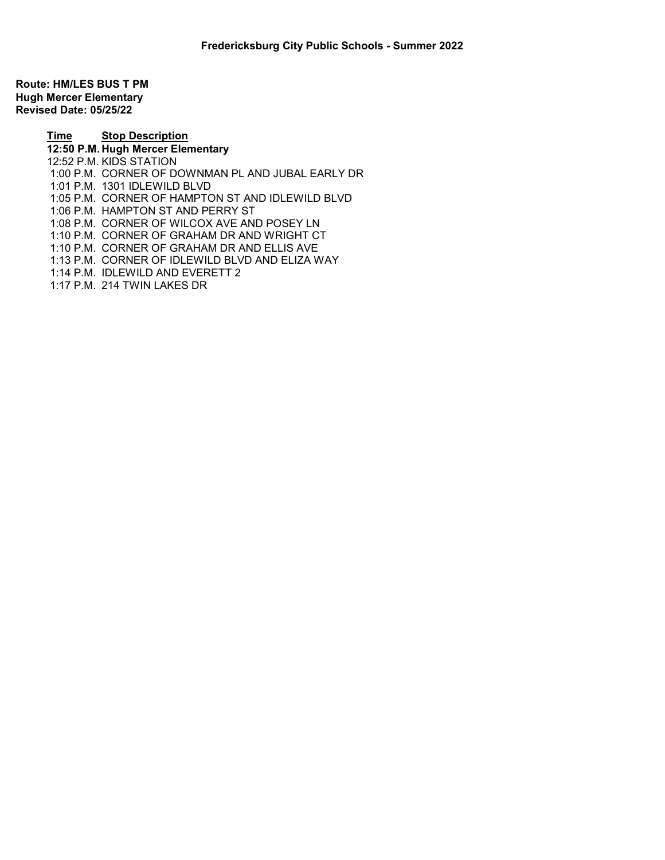Route: HM/LES BUS T PM Hugh Mercer Elementary Revised Date: 05/25/22

> Time Stop Description 12:50 P.M. Hugh Mercer Elementary 12:52 P.M. KIDS STATION 1:00 P.M. CORNER OF DOWNMAN PL AND JUBAL EARLY DR 1:01 P.M. 1301 IDLEWILD BLVD 1:05 P.M. CORNER OF HAMPTON ST AND IDLEWILD BLVD 1:06 P.M. HAMPTON ST AND PERRY ST 1:08 P.M. CORNER OF WILCOX AVE AND POSEY LN 1:10 P.M. CORNER OF GRAHAM DR AND WRIGHT CT 1:10 P.M. CORNER OF GRAHAM DR AND ELLIS AVE 1:13 P.M. CORNER OF IDLEWILD BLVD AND ELIZA WAY 1:14 P.M. IDLEWILD AND EVERETT 2 1:17 P.M. 214 TWIN LAKES DR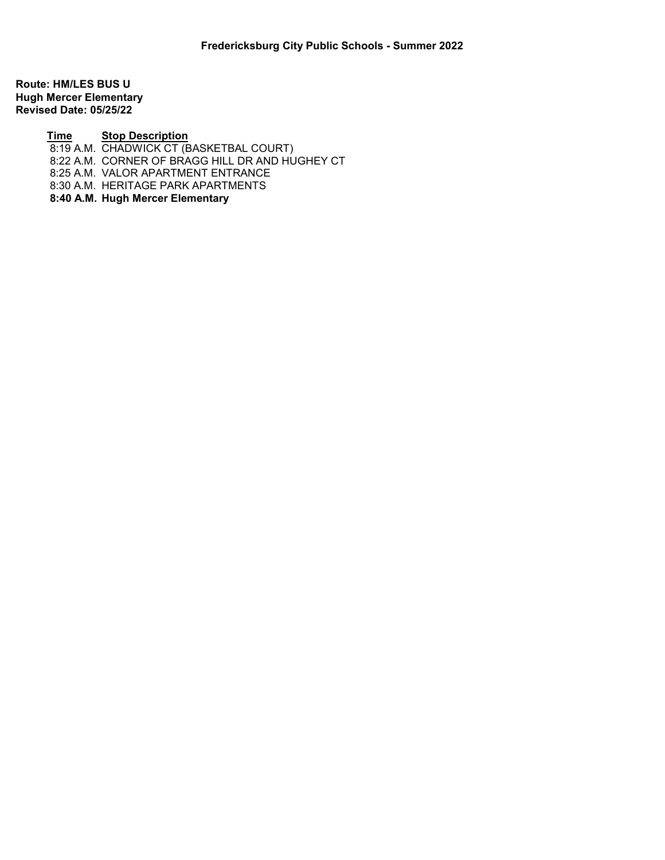Route: HM/LES BUS U Hugh Mercer Elementary Revised Date: 05/25/22

## Time Stop Description

8:19 A.M. CHADWICK CT (BASKETBAL COURT)

8:22 A.M. CORNER OF BRAGG HILL DR AND HUGHEY CT

8:25 A.M. VALOR APARTMENT ENTRANCE

8:30 A.M. HERITAGE PARK APARTMENTS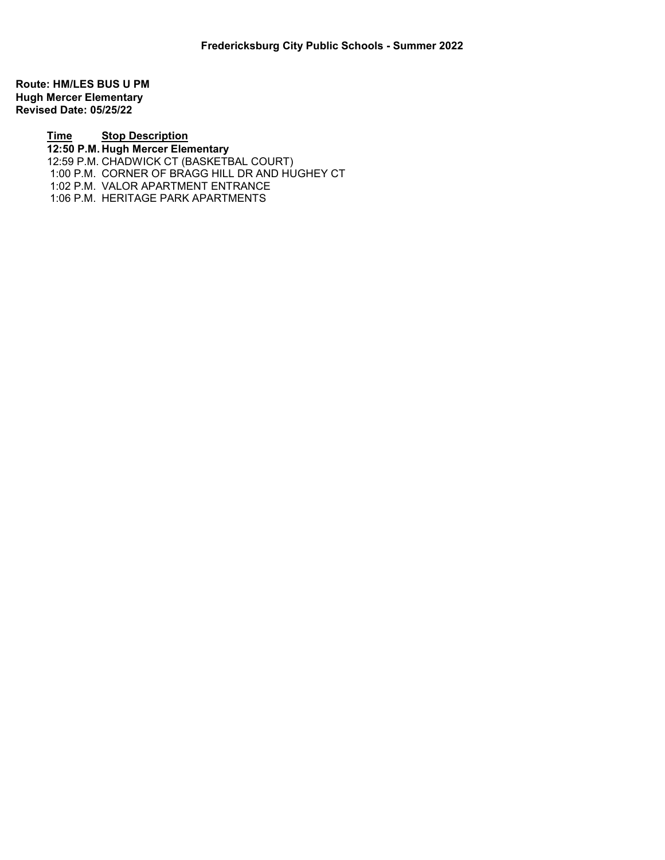Route: HM/LES BUS U PM Hugh Mercer Elementary Revised Date: 05/25/22

> Time Stop Description 12:50 P.M. Hugh Mercer Elementary 12:59 P.M. CHADWICK CT (BASKETBAL COURT) 1:00 P.M. CORNER OF BRAGG HILL DR AND HUGHEY CT 1:02 P.M. VALOR APARTMENT ENTRANCE 1:06 P.M. HERITAGE PARK APARTMENTS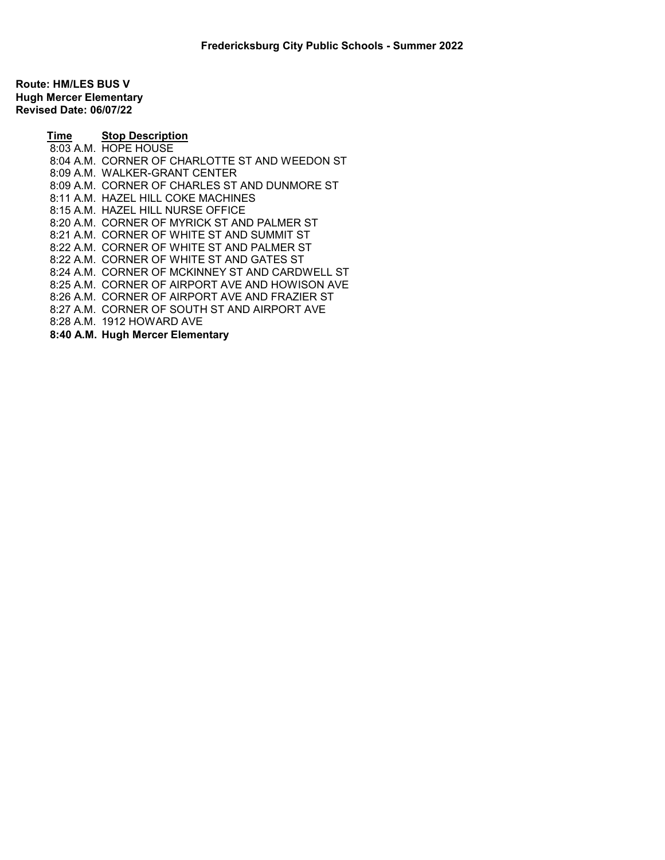Route: HM/LES BUS V Hugh Mercer Elementary Revised Date: 06/07/22

> Time Stop Description 8:03 A.M. HOPE HOUSE 8:04 A.M. CORNER OF CHARLOTTE ST AND WEEDON ST 8:09 A.M. WALKER-GRANT CENTER 8:09 A.M. CORNER OF CHARLES ST AND DUNMORE ST 8:11 A.M. HAZEL HILL COKE MACHINES 8:15 A.M. HAZEL HILL NURSE OFFICE 8:20 A.M. CORNER OF MYRICK ST AND PALMER ST 8:21 A.M. CORNER OF WHITE ST AND SUMMIT ST 8:22 A.M. CORNER OF WHITE ST AND PALMER ST 8:22 A.M. CORNER OF WHITE ST AND GATES ST 8:24 A.M. CORNER OF MCKINNEY ST AND CARDWELL ST 8:25 A.M. CORNER OF AIRPORT AVE AND HOWISON AVE 8:26 A.M. CORNER OF AIRPORT AVE AND FRAZIER ST 8:27 A.M. CORNER OF SOUTH ST AND AIRPORT AVE 8:28 A.M. 1912 HOWARD AVE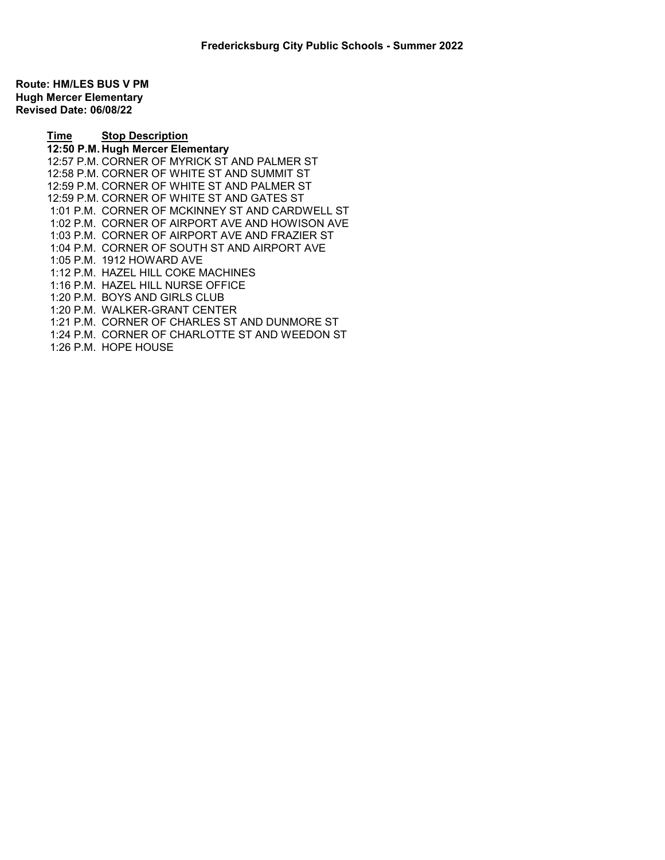Route: HM/LES BUS V PM Hugh Mercer Elementary Revised Date: 06/08/22

> Time Stop Description 12:50 P.M. Hugh Mercer Elementary 12:57 P.M. CORNER OF MYRICK ST AND PALMER ST 12:58 P.M. CORNER OF WHITE ST AND SUMMIT ST 12:59 P.M. CORNER OF WHITE ST AND PALMER ST 12:59 P.M. CORNER OF WHITE ST AND GATES ST 1:01 P.M. CORNER OF MCKINNEY ST AND CARDWELL ST 1:02 P.M. CORNER OF AIRPORT AVE AND HOWISON AVE 1:03 P.M. CORNER OF AIRPORT AVE AND FRAZIER ST 1:04 P.M. CORNER OF SOUTH ST AND AIRPORT AVE 1:05 P.M. 1912 HOWARD AVE 1:12 P.M. HAZEL HILL COKE MACHINES 1:16 P.M. HAZEL HILL NURSE OFFICE 1:20 P.M. BOYS AND GIRLS CLUB 1:20 P.M. WALKER-GRANT CENTER 1:21 P.M. CORNER OF CHARLES ST AND DUNMORE ST 1:24 P.M. CORNER OF CHARLOTTE ST AND WEEDON ST 1:26 P.M. HOPE HOUSE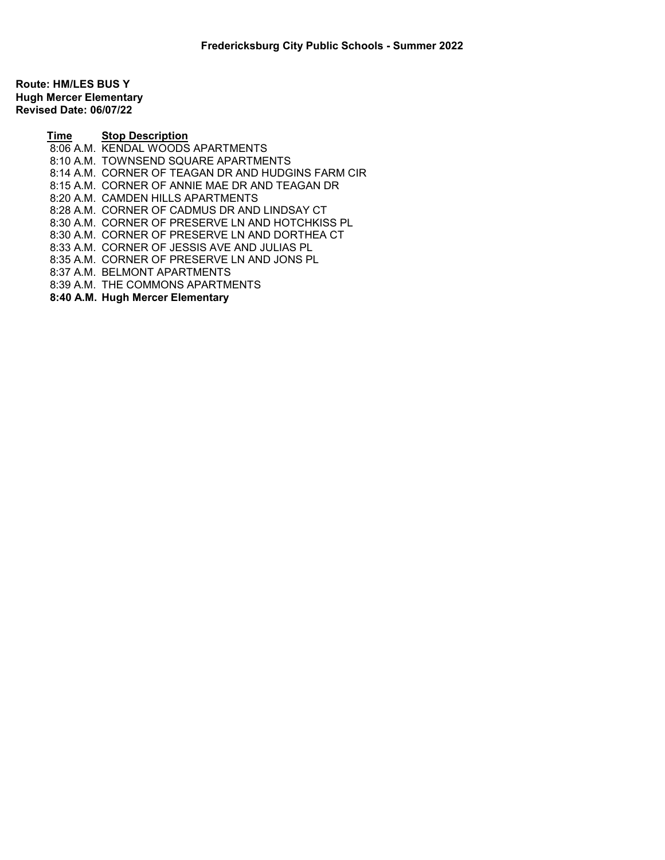Route: HM/LES BUS Y Hugh Mercer Elementary Revised Date: 06/07/22

> Time Stop Description 8:06 A.M. KENDAL WOODS APARTMENTS 8:10 A.M. TOWNSEND SQUARE APARTMENTS 8:14 A.M. CORNER OF TEAGAN DR AND HUDGINS FARM CIR 8:15 A.M. CORNER OF ANNIE MAE DR AND TEAGAN DR 8:20 A.M. CAMDEN HILLS APARTMENTS 8:28 A.M. CORNER OF CADMUS DR AND LINDSAY CT 8:30 A.M. CORNER OF PRESERVE LN AND HOTCHKISS PL 8:30 A.M. CORNER OF PRESERVE LN AND DORTHEA CT 8:33 A.M. CORNER OF JESSIS AVE AND JULIAS PL 8:35 A.M. CORNER OF PRESERVE LN AND JONS PL 8:37 A.M. BELMONT APARTMENTS 8:39 A.M. THE COMMONS APARTMENTS 8:40 A.M. Hugh Mercer Elementary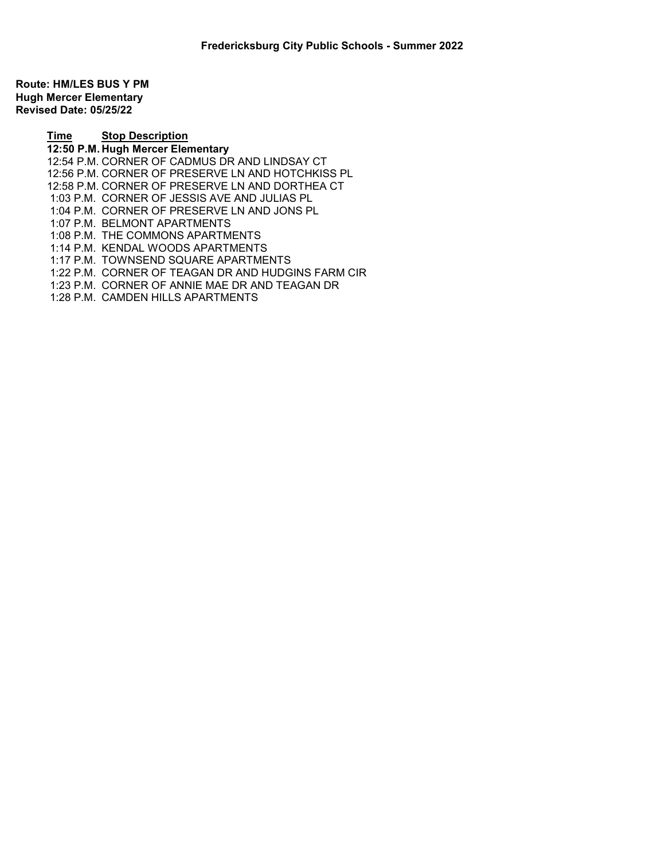Route: HM/LES BUS Y PM Hugh Mercer Elementary Revised Date: 05/25/22

> Time Stop Description 12:50 P.M. Hugh Mercer Elementary 12:54 P.M. CORNER OF CADMUS DR AND LINDSAY CT 12:56 P.M. CORNER OF PRESERVE LN AND HOTCHKISS PL 12:58 P.M. CORNER OF PRESERVE LN AND DORTHEA CT 1:03 P.M. CORNER OF JESSIS AVE AND JULIAS PL 1:04 P.M. CORNER OF PRESERVE LN AND JONS PL 1:07 P.M. BELMONT APARTMENTS 1:08 P.M. THE COMMONS APARTMENTS 1:14 P.M. KENDAL WOODS APARTMENTS 1:17 P.M. TOWNSEND SQUARE APARTMENTS 1:22 P.M. CORNER OF TEAGAN DR AND HUDGINS FARM CIR 1:23 P.M. CORNER OF ANNIE MAE DR AND TEAGAN DR 1:28 P.M. CAMDEN HILLS APARTMENTS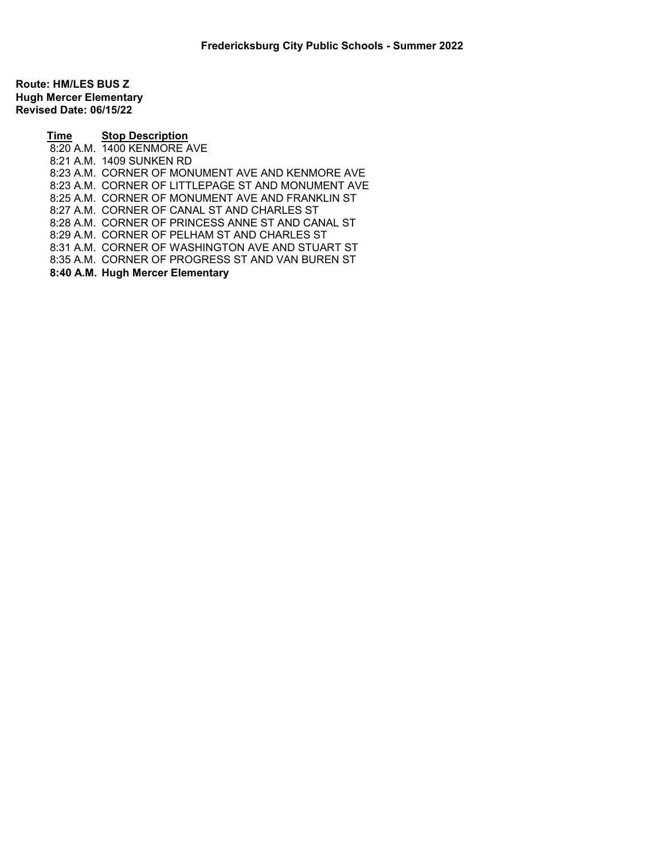Route: HM/LES BUS Z Hugh Mercer Elementary Revised Date: 06/15/22

> Time Stop Description 8:20 A.M. 1400 KENMORE AVE 8:21 A.M. 1409 SUNKEN RD 8:23 A.M. CORNER OF MONUMENT AVE AND KENMORE AVE 8:23 A.M. CORNER OF LITTLEPAGE ST AND MONUMENT AVE 8:25 A.M. CORNER OF MONUMENT AVE AND FRANKLIN ST 8:27 A.M. CORNER OF CANAL ST AND CHARLES ST 8:28 A.M. CORNER OF PRINCESS ANNE ST AND CANAL ST 8:29 A.M. CORNER OF PELHAM ST AND CHARLES ST 8:31 A.M. CORNER OF WASHINGTON AVE AND STUART ST 8:35 A.M. CORNER OF PROGRESS ST AND VAN BUREN ST 8:40 A.M. Hugh Mercer Elementary